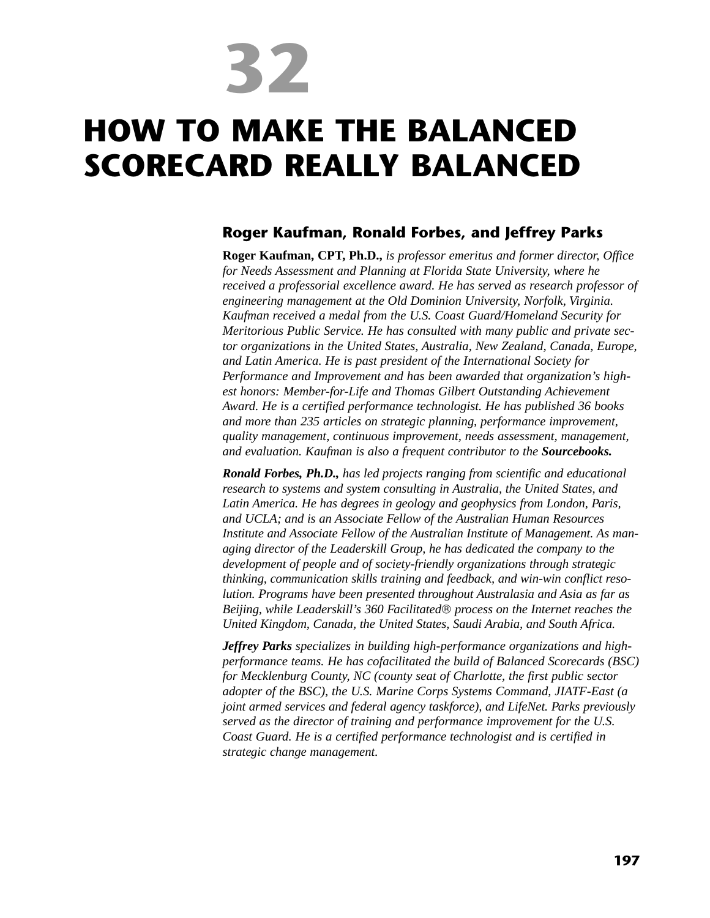**32**

# **HOW TO MAKE THE BALANCED SCORECARD REALLY BALANCED**

## **Roger Kaufman, Ronald Forbes, and Jeffrey Parks**

**Roger Kaufman, CPT, Ph.D.,** *is professor emeritus and former director, Office for Needs Assessment and Planning at Florida State University, where he received a professorial excellence award. He has served as research professor of engineering management at the Old Dominion University, Norfolk, Virginia. Kaufman received a medal from the U.S. Coast Guard/Homeland Security for Meritorious Public Service. He has consulted with many public and private sector organizations in the United States, Australia, New Zealand, Canada, Europe, and Latin America. He is past president of the International Society for Performance and Improvement and has been awarded that organization's highest honors: Member-for-Life and Thomas Gilbert Outstanding Achievement Award. He is a certified performance technologist. He has published 36 books and more than 235 articles on strategic planning, performance improvement, quality management, continuous improvement, needs assessment, management, and evaluation. Kaufman is also a frequent contributor to the Sourcebooks.*

*Ronald Forbes, Ph.D., has led projects ranging from scientific and educational research to systems and system consulting in Australia, the United States, and Latin America. He has degrees in geology and geophysics from London, Paris, and UCLA; and is an Associate Fellow of the Australian Human Resources Institute and Associate Fellow of the Australian Institute of Management. As managing director of the Leaderskill Group, he has dedicated the company to the development of people and of society-friendly organizations through strategic thinking, communication skills training and feedback, and win-win conflict resolution. Programs have been presented throughout Australasia and Asia as far as Beijing, while Leaderskill's 360 Facilitated process on the Internet reaches the United Kingdom, Canada, the United States, Saudi Arabia, and South Africa.*

*Jeffrey Parks specializes in building high-performance organizations and highperformance teams. He has cofacilitated the build of Balanced Scorecards (BSC) for Mecklenburg County, NC (county seat of Charlotte, the first public sector adopter of the BSC), the U.S. Marine Corps Systems Command, JIATF-East (a joint armed services and federal agency taskforce), and LifeNet. Parks previously served as the director of training and performance improvement for the U.S. Coast Guard. He is a certified performance technologist and is certified in strategic change management.*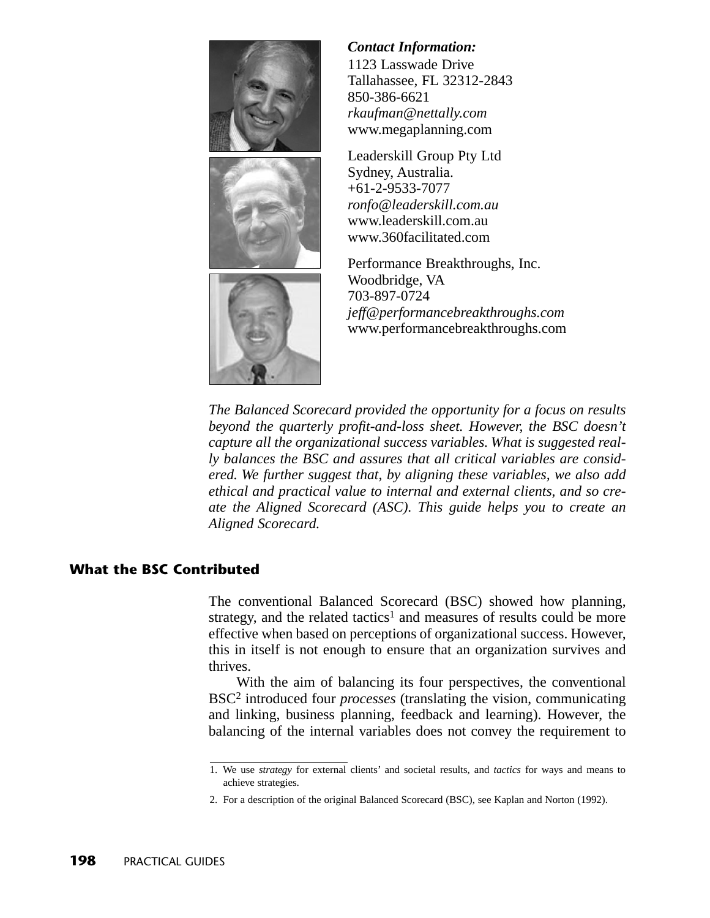





## *Contact Information:*

1123 Lasswade Drive Tallahassee, FL 32312-2843 850-386-6621 *rkaufman@nettally.com* www.megaplanning.com

Leaderskill Group Pty Ltd Sydney, Australia. +61-2-9533-7077 *ronfo@leaderskill.com.au* www.leaderskill.com.au www.360facilitated.com

Performance Breakthroughs, Inc. Woodbridge, VA 703-897-0724 *jeff@performancebreakthroughs.com* www.performancebreakthroughs.com

*The Balanced Scorecard provided the opportunity for a focus on results beyond the quarterly profit-and-loss sheet. However, the BSC doesn't capture all the organizational success variables. What is suggested really balances the BSC and assures that all critical variables are considered. We further suggest that, by aligning these variables, we also add ethical and practical value to internal and external clients, and so create the Aligned Scorecard (ASC). This guide helps you to create an Aligned Scorecard.*

## **What the BSC Contributed**

The conventional Balanced Scorecard (BSC) showed how planning, strategy, and the related tactics<sup>1</sup> and measures of results could be more effective when based on perceptions of organizational success. However, this in itself is not enough to ensure that an organization survives and thrives.

With the aim of balancing its four perspectives, the conventional BSC2 introduced four *processes* (translating the vision, communicating and linking, business planning, feedback and learning). However, the balancing of the internal variables does not convey the requirement to

<sup>1.</sup> We use *strategy* for external clients' and societal results, and *tactics* for ways and means to achieve strategies.

<sup>2.</sup> For a description of the original Balanced Scorecard (BSC), see Kaplan and Norton (1992).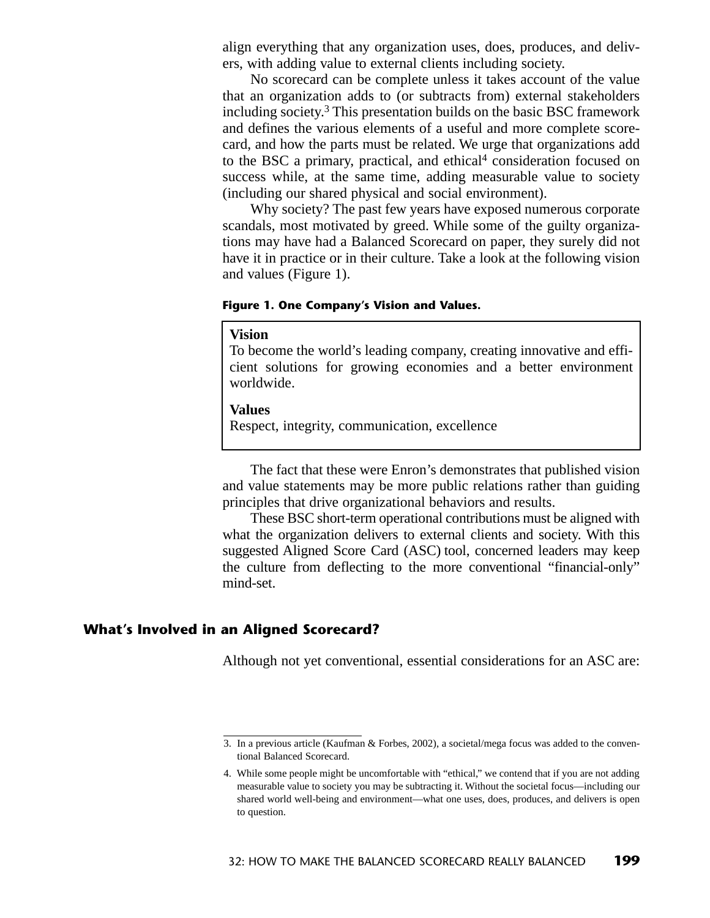align everything that any organization uses, does, produces, and delivers, with adding value to external clients including society.

No scorecard can be complete unless it takes account of the value that an organization adds to (or subtracts from) external stakeholders including society.3 This presentation builds on the basic BSC framework and defines the various elements of a useful and more complete scorecard, and how the parts must be related. We urge that organizations add to the BSC a primary, practical, and ethical<sup>4</sup> consideration focused on success while, at the same time, adding measurable value to society (including our shared physical and social environment).

Why society? The past few years have exposed numerous corporate scandals, most motivated by greed. While some of the guilty organizations may have had a Balanced Scorecard on paper, they surely did not have it in practice or in their culture. Take a look at the following vision and values (Figure 1).

### **Figure 1. One Company's Vision and Values.**

#### **Vision**

To become the world's leading company, creating innovative and efficient solutions for growing economies and a better environment worldwide.

#### **Values**

Respect, integrity, communication, excellence

The fact that these were Enron's demonstrates that published vision and value statements may be more public relations rather than guiding principles that drive organizational behaviors and results.

These BSC short-term operational contributions must be aligned with what the organization delivers to external clients and society. With this suggested Aligned Score Card (ASC) tool, concerned leaders may keep the culture from deflecting to the more conventional "financial-only" mind-set.

## **What's Involved in an Aligned Scorecard?**

Although not yet conventional, essential considerations for an ASC are:

<sup>3.</sup> In a previous article (Kaufman & Forbes, 2002), a societal/mega focus was added to the conventional Balanced Scorecard.

<sup>4.</sup> While some people might be uncomfortable with "ethical," we contend that if you are not adding measurable value to society you may be subtracting it. Without the societal focus—including our shared world well-being and environment—what one uses, does, produces, and delivers is open to question.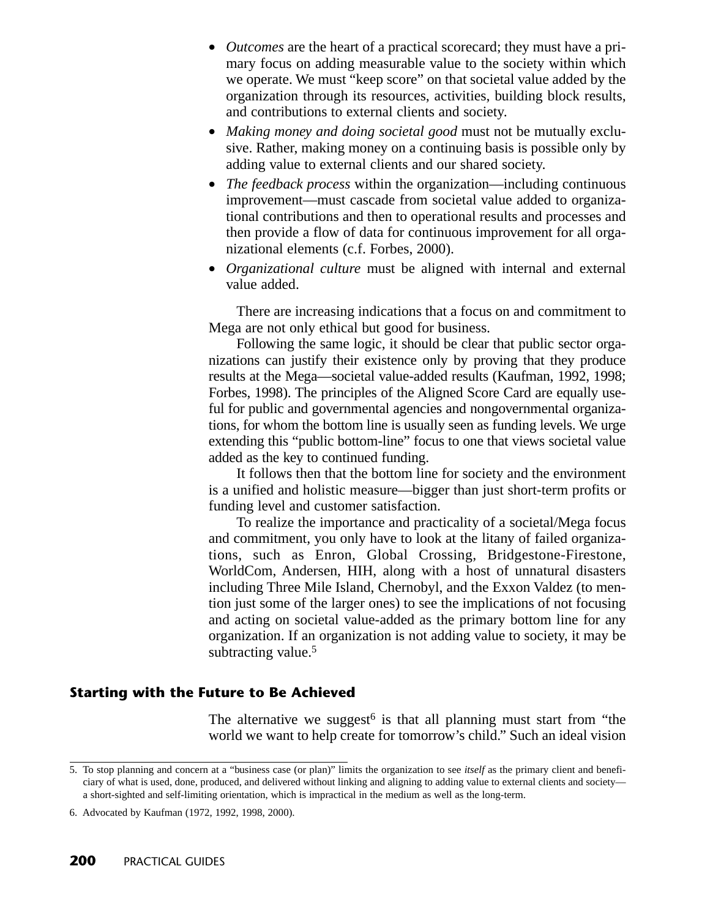- *Outcomes* are the heart of a practical scorecard; they must have a primary focus on adding measurable value to the society within which we operate. We must "keep score" on that societal value added by the organization through its resources, activities, building block results, and contributions to external clients and society.
- *Making money and doing societal good* must not be mutually exclusive. Rather, making money on a continuing basis is possible only by adding value to external clients and our shared society.
- *The feedback process* within the organization—including continuous improvement—must cascade from societal value added to organizational contributions and then to operational results and processes and then provide a flow of data for continuous improvement for all organizational elements (c.f. Forbes, 2000).
- *Organizational culture* must be aligned with internal and external value added.

There are increasing indications that a focus on and commitment to Mega are not only ethical but good for business.

Following the same logic, it should be clear that public sector organizations can justify their existence only by proving that they produce results at the Mega—societal value-added results (Kaufman, 1992, 1998; Forbes, 1998). The principles of the Aligned Score Card are equally useful for public and governmental agencies and nongovernmental organizations, for whom the bottom line is usually seen as funding levels. We urge extending this "public bottom-line" focus to one that views societal value added as the key to continued funding.

It follows then that the bottom line for society and the environment is a unified and holistic measure—bigger than just short-term profits or funding level and customer satisfaction.

To realize the importance and practicality of a societal/Mega focus and commitment, you only have to look at the litany of failed organizations, such as Enron, Global Crossing, Bridgestone-Firestone, WorldCom, Andersen, HIH, along with a host of unnatural disasters including Three Mile Island, Chernobyl, and the Exxon Valdez (to mention just some of the larger ones) to see the implications of not focusing and acting on societal value-added as the primary bottom line for any organization. If an organization is not adding value to society, it may be subtracting value.<sup>5</sup>

## **Starting with the Future to Be Achieved**

The alternative we suggest<sup> $6$ </sup> is that all planning must start from "the world we want to help create for tomorrow's child." Such an ideal vision

<sup>5.</sup> To stop planning and concern at a "business case (or plan)" limits the organization to see *itself* as the primary client and beneficiary of what is used, done, produced, and delivered without linking and aligning to adding value to external clients and society a short-sighted and self-limiting orientation, which is impractical in the medium as well as the long-term.

<sup>6.</sup> Advocated by Kaufman (1972, 1992, 1998, 2000).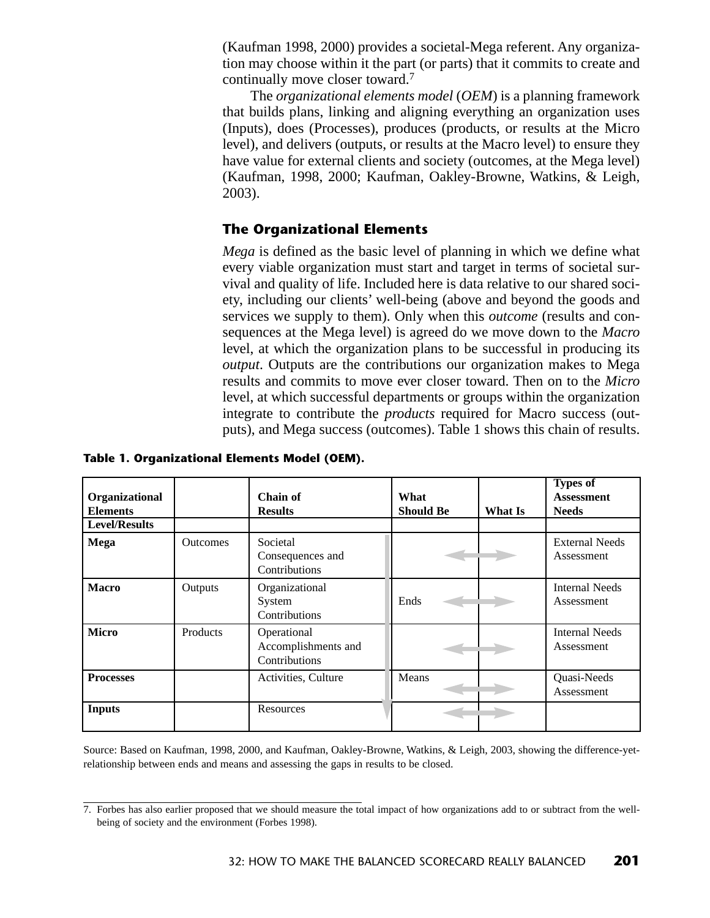(Kaufman 1998, 2000) provides a societal-Mega referent. Any organization may choose within it the part (or parts) that it commits to create and continually move closer toward.7

The *organizational elements model* (*OEM*) is a planning framework that builds plans, linking and aligning everything an organization uses (Inputs), does (Processes), produces (products, or results at the Micro level), and delivers (outputs, or results at the Macro level) to ensure they have value for external clients and society (outcomes, at the Mega level) (Kaufman, 1998, 2000; Kaufman, Oakley-Browne, Watkins, & Leigh, 2003).

# **The Organizational Elements**

*Mega* is defined as the basic level of planning in which we define what every viable organization must start and target in terms of societal survival and quality of life. Included here is data relative to our shared society, including our clients' well-being (above and beyond the goods and services we supply to them). Only when this *outcome* (results and consequences at the Mega level) is agreed do we move down to the *Macro* level, at which the organization plans to be successful in producing its *output*. Outputs are the contributions our organization makes to Mega results and commits to move ever closer toward. Then on to the *Micro* level, at which successful departments or groups within the organization integrate to contribute the *products* required for Macro success (outputs), and Mega success (outcomes). Table 1 shows this chain of results.

| Organizational<br><b>Elements</b> |                 | Chain of<br><b>Results</b>                          | What<br><b>Should Be</b> | What Is | <b>Types of</b><br><b>Assessment</b><br><b>Needs</b> |
|-----------------------------------|-----------------|-----------------------------------------------------|--------------------------|---------|------------------------------------------------------|
| <b>Level/Results</b>              |                 |                                                     |                          |         |                                                      |
| <b>Mega</b>                       | <b>Outcomes</b> | Societal<br>Consequences and<br>Contributions       |                          |         | <b>External Needs</b><br>Assessment                  |
| <b>Macro</b>                      | Outputs         | Organizational<br>System<br>Contributions           | Ends                     |         | <b>Internal Needs</b><br>Assessment                  |
| <b>Micro</b>                      | Products        | Operational<br>Accomplishments and<br>Contributions |                          |         | <b>Internal Needs</b><br>Assessment                  |
| <b>Processes</b>                  |                 | Activities, Culture                                 | Means                    |         | Quasi-Needs<br>Assessment                            |
| <b>Inputs</b>                     |                 | Resources                                           |                          |         |                                                      |

**Table 1. Organizational Elements Model (OEM).**

Source: Based on Kaufman, 1998, 2000, and Kaufman, Oakley-Browne, Watkins, & Leigh, 2003, showing the difference-yetrelationship between ends and means and assessing the gaps in results to be closed.

<sup>7.</sup> Forbes has also earlier proposed that we should measure the total impact of how organizations add to or subtract from the wellbeing of society and the environment (Forbes 1998).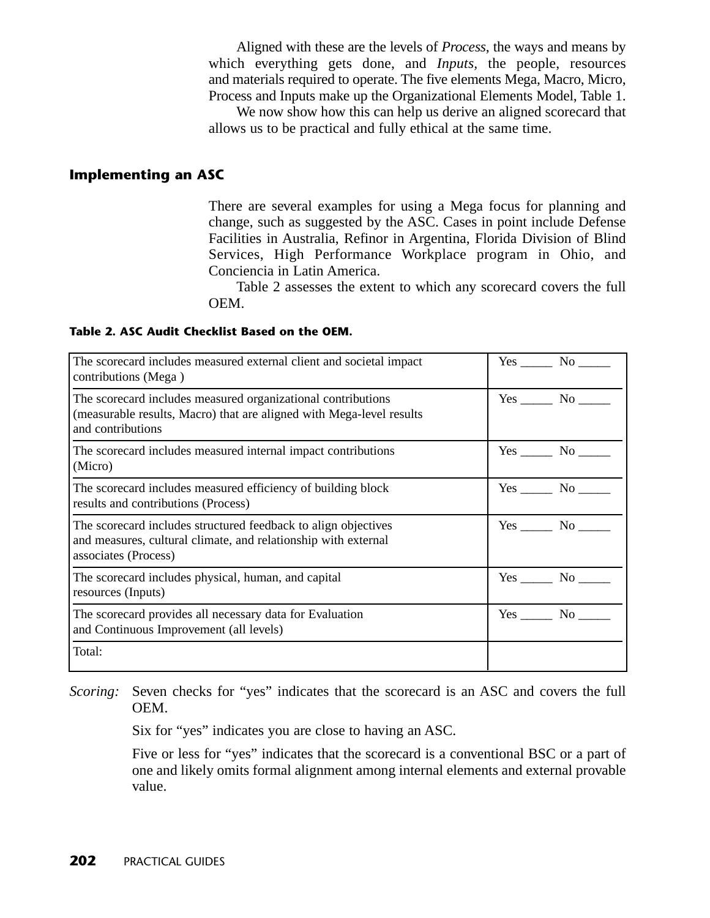Aligned with these are the levels of *Process*, the ways and means by which everything gets done, and *Inputs,* the people, resources and materials required to operate. The five elements Mega, Macro, Micro, Process and Inputs make up the Organizational Elements Model, Table 1.

We now show how this can help us derive an aligned scorecard that allows us to be practical and fully ethical at the same time.

## **Implementing an ASC**

There are several examples for using a Mega focus for planning and change, such as suggested by the ASC. Cases in point include Defense Facilities in Australia, Refinor in Argentina, Florida Division of Blind Services, High Performance Workplace program in Ohio, and Conciencia in Latin America.

Table 2 assesses the extent to which any scorecard covers the full OEM.

### **Table 2. ASC Audit Checklist Based on the OEM.**

| The scorecard includes measured external client and societal impact<br>contributions (Mega)                                                               | $Yes$ No $\_\_\_\$         |
|-----------------------------------------------------------------------------------------------------------------------------------------------------------|----------------------------|
| The scorecard includes measured organizational contributions<br>(measurable results, Macro) that are aligned with Mega-level results<br>and contributions | $Yes \_\_\_\_ No \_\_\_\_$ |
| The scorecard includes measured internal impact contributions<br>(Micro)                                                                                  | $Yes \_\_\_ No \_\_\_$     |
| The scorecard includes measured efficiency of building block<br>results and contributions (Process)                                                       | $Yes \_\_\_ No \_\_\_$     |
| The scorecard includes structured feedback to align objectives<br>and measures, cultural climate, and relationship with external<br>associates (Process)  | $Yes$ No $\_\_\_\$         |
| The scorecard includes physical, human, and capital<br>resources (Inputs)                                                                                 | $Yes \_\_\_ No \_\_\_$     |
| The scorecard provides all necessary data for Evaluation<br>and Continuous Improvement (all levels)                                                       | Yes No                     |
| Total:                                                                                                                                                    |                            |

*Scoring:* Seven checks for "yes" indicates that the scorecard is an ASC and covers the full OEM.

Six for "yes" indicates you are close to having an ASC.

Five or less for "yes" indicates that the scorecard is a conventional BSC or a part of one and likely omits formal alignment among internal elements and external provable value.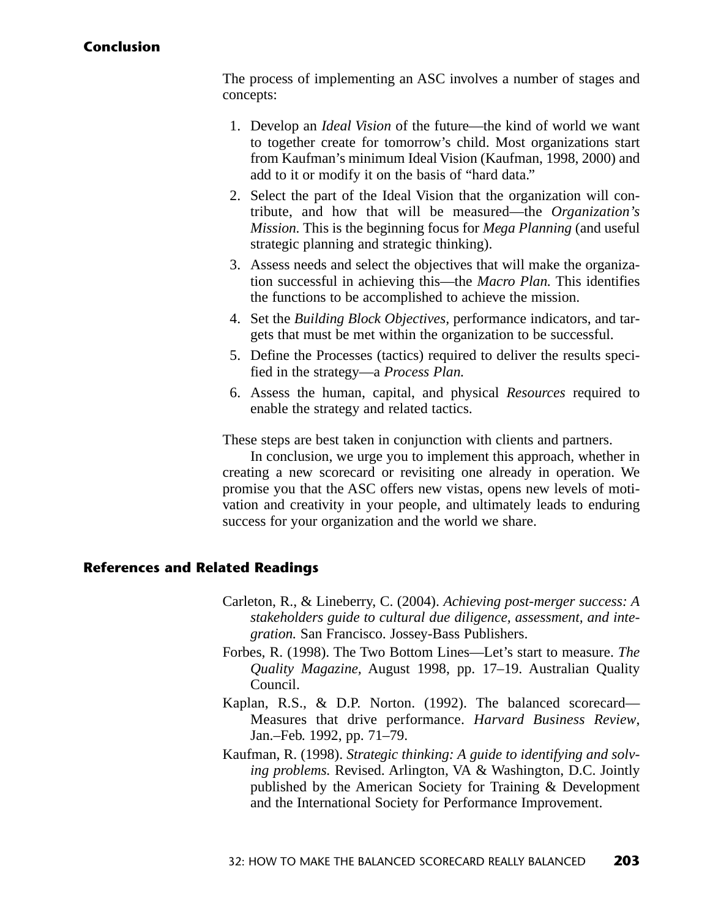## **Conclusion**

The process of implementing an ASC involves a number of stages and concepts:

- 1. Develop an *Ideal Vision* of the future—the kind of world we want to together create for tomorrow's child. Most organizations start from Kaufman's minimum Ideal Vision (Kaufman, 1998, 2000) and add to it or modify it on the basis of "hard data."
- 2. Select the part of the Ideal Vision that the organization will contribute, and how that will be measured—the *Organization's Mission.* This is the beginning focus for *Mega Planning* (and useful strategic planning and strategic thinking).
- 3. Assess needs and select the objectives that will make the organization successful in achieving this—the *Macro Plan.* This identifies the functions to be accomplished to achieve the mission.
- 4. Set the *Building Block Objectives,* performance indicators, and targets that must be met within the organization to be successful.
- 5. Define the Processes (tactics) required to deliver the results specified in the strategy—a *Process Plan.*
- 6. Assess the human, capital, and physical *Resources* required to enable the strategy and related tactics.

These steps are best taken in conjunction with clients and partners.

In conclusion, we urge you to implement this approach, whether in creating a new scorecard or revisiting one already in operation. We promise you that the ASC offers new vistas, opens new levels of motivation and creativity in your people, and ultimately leads to enduring success for your organization and the world we share.

## **References and Related Readings**

- Carleton, R., & Lineberry, C. (2004). *Achieving post-merger success: A stakeholders guide to cultural due diligence, assessment, and integration.* San Francisco. Jossey-Bass Publishers.
- Forbes, R. (1998). The Two Bottom Lines—Let's start to measure. *The Quality Magazine,* August 1998, pp. 17–19. Australian Quality Council.
- Kaplan, R.S., & D.P. Norton. (1992). The balanced scorecard— Measures that drive performance. *Harvard Business Review*, Jan.–Feb. 1992, pp. 71–79.
- Kaufman, R. (1998). *Strategic thinking: A guide to identifying and solving problems.* Revised. Arlington, VA & Washington, D.C. Jointly published by the American Society for Training & Development and the International Society for Performance Improvement.